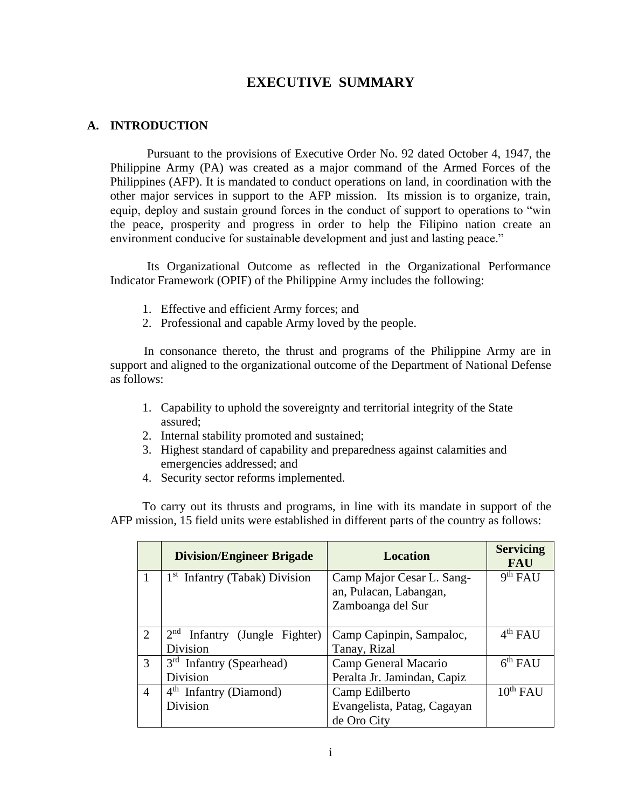# **EXECUTIVE SUMMARY**

### **A. INTRODUCTION**

Pursuant to the provisions of Executive Order No. 92 dated October 4, 1947, the Philippine Army (PA) was created as a major command of the Armed Forces of the Philippines (AFP). It is mandated to conduct operations on land, in coordination with the other major services in support to the AFP mission. Its mission is to organize, train, equip, deploy and sustain ground forces in the conduct of support to operations to "win the peace, prosperity and progress in order to help the Filipino nation create an environment conducive for sustainable development and just and lasting peace."

Its Organizational Outcome as reflected in the Organizational Performance Indicator Framework (OPIF) of the Philippine Army includes the following:

- 1. Effective and efficient Army forces; and
- 2. Professional and capable Army loved by the people.

In consonance thereto, the thrust and programs of the Philippine Army are in support and aligned to the organizational outcome of the Department of National Defense as follows:

- 1. Capability to uphold the sovereignty and territorial integrity of the State assured;
- 2. Internal stability promoted and sustained;
- 3. Highest standard of capability and preparedness against calamities and emergencies addressed; and
- 4. Security sector reforms implemented.

To carry out its thrusts and programs, in line with its mandate in support of the AFP mission, 15 field units were established in different parts of the country as follows:

|                | <b>Division/Engineer Brigade</b>          | <b>Location</b>             | <b>Servicing</b><br><b>FAU</b> |
|----------------|-------------------------------------------|-----------------------------|--------------------------------|
| 1              | 1 <sup>st</sup> Infantry (Tabak) Division | Camp Major Cesar L. Sang-   | 9 <sup>th</sup> FAU            |
|                |                                           | an, Pulacan, Labangan,      |                                |
|                |                                           | Zamboanga del Sur           |                                |
|                |                                           |                             |                                |
| $\overline{2}$ | $2nd$ Infantry (Jungle Fighter)           | Camp Capinpin, Sampaloc,    | $4th$ FAU                      |
|                | Division                                  | Tanay, Rizal                |                                |
| 3              | $3rd$ Infantry (Spearhead)                | Camp General Macario        | 6 <sup>th</sup> FAU            |
|                | Division                                  | Peralta Jr. Jamindan, Capiz |                                |
| $\overline{4}$ | $4th$ Infantry (Diamond)                  | Camp Edilberto              | $10^{th}$ FAU                  |
|                | Division                                  | Evangelista, Patag, Cagayan |                                |
|                |                                           | de Oro City                 |                                |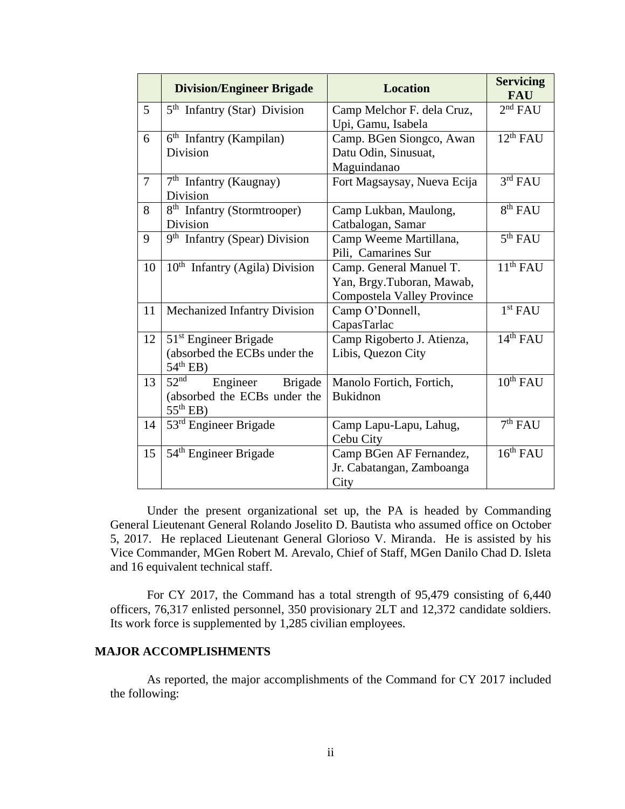|                | <b>Division/Engineer Brigade</b>                                                                       | <b>Location</b>                                                                           | <b>Servicing</b><br><b>FAU</b> |
|----------------|--------------------------------------------------------------------------------------------------------|-------------------------------------------------------------------------------------------|--------------------------------|
| 5              | $5th$ Infantry (Star) Division                                                                         | Camp Melchor F. dela Cruz,                                                                | 2 <sup>nd</sup> FAU            |
| 6              | $6th$ Infantry (Kampilan)<br>Division                                                                  | Upi, Gamu, Isabela<br>Camp. BGen Siongco, Awan<br>Datu Odin, Sinusuat,<br>Maguindanao     | $12^{th}$ FAU                  |
| $\overline{7}$ | $7th$ Infantry (Kaugnay)<br>Division                                                                   | Fort Magsaysay, Nueva Ecija                                                               | 3 <sup>rd</sup> FAU            |
| 8              | 8 <sup>th</sup> Infantry (Stormtrooper)<br>Division                                                    | Camp Lukban, Maulong,<br>Catbalogan, Samar                                                | 8 <sup>th</sup> FAU            |
| 9              | 9 <sup>th</sup> Infantry (Spear) Division                                                              | Camp Weeme Martillana,<br>Pili, Camarines Sur                                             | 5 <sup>th</sup> FAU            |
| 10             | $10th$ Infantry (Agila) Division                                                                       | Camp. General Manuel T.<br>Yan, Brgy.Tuboran, Mawab,<br><b>Compostela Valley Province</b> | 11 <sup>th</sup> FAU           |
| 11             | Mechanized Infantry Division                                                                           | Camp O'Donnell,<br>CapasTarlac                                                            | 1 <sup>st</sup> FAU            |
| 12             | 51 <sup>st</sup> Engineer Brigade<br>(absorbed the ECBs under the<br>$54th$ EB)                        | Camp Rigoberto J. Atienza,<br>Libis, Quezon City                                          | 14 <sup>th</sup> FAU           |
| 13             | 52 <sup>nd</sup><br>Engineer<br><b>Brigade</b><br>(absorbed the ECBs under the<br>$55^{\text{th}}$ EB) | Manolo Fortich, Fortich,<br><b>Bukidnon</b>                                               | $10^{th}$ FAU                  |
| 14             | 53 <sup>rd</sup> Engineer Brigade                                                                      | Camp Lapu-Lapu, Lahug,<br>Cebu City                                                       | 7 <sup>th</sup> FAU            |
| 15             | 54 <sup>th</sup> Engineer Brigade                                                                      | Camp BGen AF Fernandez,<br>Jr. Cabatangan, Zamboanga<br>City                              | 16 <sup>th</sup> FAU           |

Under the present organizational set up, the PA is headed by Commanding General Lieutenant General Rolando Joselito D. Bautista who assumed office on October 5, 2017. He replaced Lieutenant General Glorioso V. Miranda. He is assisted by his Vice Commander, MGen Robert M. Arevalo, Chief of Staff, MGen Danilo Chad D. Isleta and 16 equivalent technical staff.

For CY 2017, the Command has a total strength of 95,479 consisting of 6,440 officers, 76,317 enlisted personnel, 350 provisionary 2LT and 12,372 candidate soldiers. Its work force is supplemented by 1,285 civilian employees.

### **MAJOR ACCOMPLISHMENTS**

As reported, the major accomplishments of the Command for CY 2017 included the following: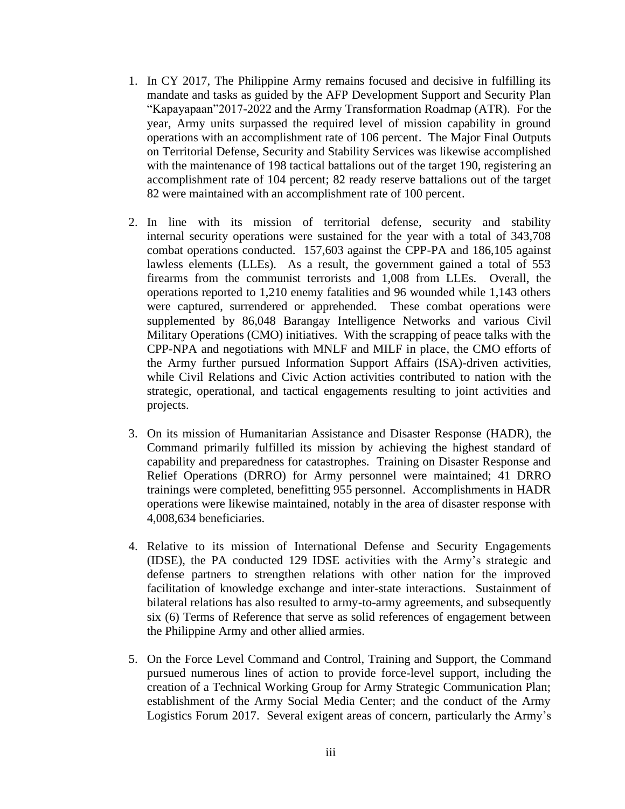- 1. In CY 2017, The Philippine Army remains focused and decisive in fulfilling its mandate and tasks as guided by the AFP Development Support and Security Plan "Kapayapaan"2017-2022 and the Army Transformation Roadmap (ATR). For the year, Army units surpassed the required level of mission capability in ground operations with an accomplishment rate of 106 percent. The Major Final Outputs on Territorial Defense, Security and Stability Services was likewise accomplished with the maintenance of 198 tactical battalions out of the target 190, registering an accomplishment rate of 104 percent; 82 ready reserve battalions out of the target 82 were maintained with an accomplishment rate of 100 percent.
- 2. In line with its mission of territorial defense, security and stability internal security operations were sustained for the year with a total of 343,708 combat operations conducted. 157,603 against the CPP-PA and 186,105 against lawless elements (LLEs). As a result, the government gained a total of 553 firearms from the communist terrorists and 1,008 from LLEs. Overall, the operations reported to 1,210 enemy fatalities and 96 wounded while 1,143 others were captured, surrendered or apprehended. These combat operations were supplemented by 86,048 Barangay Intelligence Networks and various Civil Military Operations (CMO) initiatives. With the scrapping of peace talks with the CPP-NPA and negotiations with MNLF and MILF in place, the CMO efforts of the Army further pursued Information Support Affairs (ISA)-driven activities, while Civil Relations and Civic Action activities contributed to nation with the strategic, operational, and tactical engagements resulting to joint activities and projects.
- 3. On its mission of Humanitarian Assistance and Disaster Response (HADR), the Command primarily fulfilled its mission by achieving the highest standard of capability and preparedness for catastrophes. Training on Disaster Response and Relief Operations (DRRO) for Army personnel were maintained; 41 DRRO trainings were completed, benefitting 955 personnel. Accomplishments in HADR operations were likewise maintained, notably in the area of disaster response with 4,008,634 beneficiaries.
- 4. Relative to its mission of International Defense and Security Engagements (IDSE), the PA conducted 129 IDSE activities with the Army's strategic and defense partners to strengthen relations with other nation for the improved facilitation of knowledge exchange and inter-state interactions. Sustainment of bilateral relations has also resulted to army-to-army agreements, and subsequently six (6) Terms of Reference that serve as solid references of engagement between the Philippine Army and other allied armies.
- 5. On the Force Level Command and Control, Training and Support, the Command pursued numerous lines of action to provide force-level support, including the creation of a Technical Working Group for Army Strategic Communication Plan; establishment of the Army Social Media Center; and the conduct of the Army Logistics Forum 2017. Several exigent areas of concern, particularly the Army's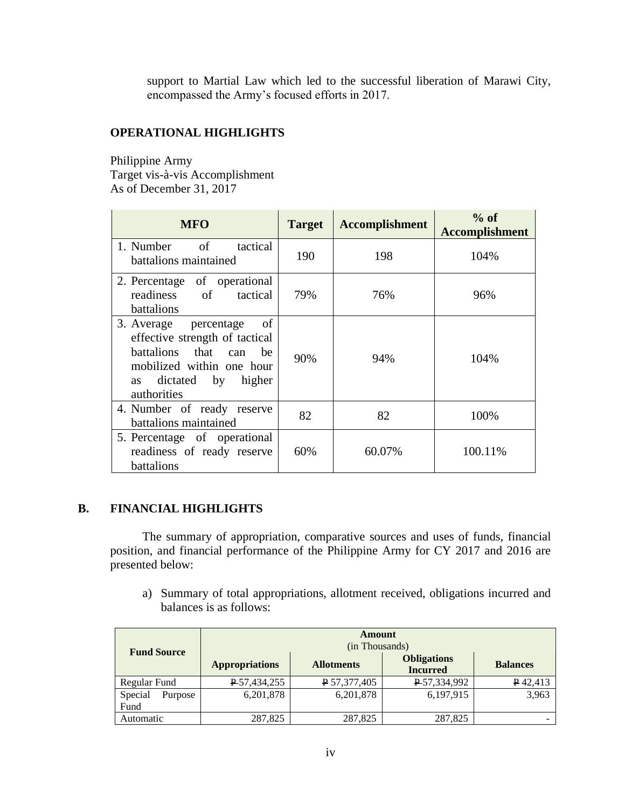support to Martial Law which led to the successful liberation of Marawi City, encompassed the Army's focused efforts in 2017.

## **OPERATIONAL HIGHLIGHTS**

Philippine Army Target vis-à-vis Accomplishment As of December 31, 2017

| <b>MFO</b>                                                                                                                                                           | <b>Target</b> | <b>Accomplishment</b> | $%$ of<br><b>Accomplishment</b> |
|----------------------------------------------------------------------------------------------------------------------------------------------------------------------|---------------|-----------------------|---------------------------------|
| <sub>of</sub><br>1. Number<br>tactical<br>battalions maintained                                                                                                      | 190           | 198                   | 104%                            |
| 2. Percentage of operational<br>readiness of<br>tactical<br>battalions                                                                                               | 79%           | 76%                   | 96%                             |
| 3. Average percentage<br>- of<br>effective strength of tactical<br>battalions that can<br>he<br>mobilized within one hour<br>dictated by higher<br>as<br>authorities | 90%           | 94%                   | 104%                            |
| 4. Number of ready reserve<br>battalions maintained                                                                                                                  | 82            | 82                    | 100%                            |
| 5. Percentage of operational<br>readiness of ready reserve<br>battalions                                                                                             | 60%           | 60.07%                | 100.11%                         |

## **B. FINANCIAL HIGHLIGHTS**

The summary of appropriation, comparative sources and uses of funds, financial position, and financial performance of the Philippine Army for CY 2017 and 2016 are presented below:

a) Summary of total appropriations, allotment received, obligations incurred and balances is as follows:

|                            | Amount<br>(in Thousands) |                   |                                       |                 |  |
|----------------------------|--------------------------|-------------------|---------------------------------------|-----------------|--|
| <b>Fund Source</b>         | <b>Appropriations</b>    | <b>Allotments</b> | <b>Obligations</b><br><b>Incurred</b> | <b>Balances</b> |  |
| Regular Fund               | P 57,434,255             | P 57,377,405      | P 57,334,992                          | P42,413         |  |
| Special<br>Purpose<br>Fund | 6,201,878                | 6,201,878         | 6,197,915                             | 3,963           |  |
| Automatic                  | 287,825                  | 287,825           | 287,825                               |                 |  |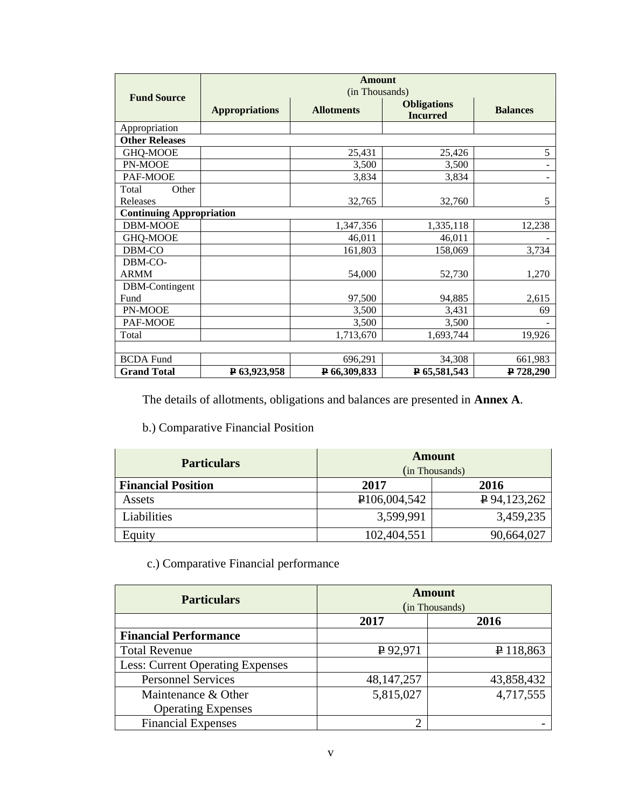|                        | <b>Amount</b><br>(in Thousands) |                   |                                       |                 |  |  |
|------------------------|---------------------------------|-------------------|---------------------------------------|-----------------|--|--|
| <b>Fund Source</b>     | <b>Appropriations</b>           | <b>Allotments</b> | <b>Obligations</b><br><b>Incurred</b> | <b>Balances</b> |  |  |
| Appropriation          |                                 |                   |                                       |                 |  |  |
| <b>Other Releases</b>  |                                 |                   |                                       |                 |  |  |
| GHQ-MOOE               |                                 | 25,431            | 25,426                                | 5               |  |  |
| PN-MOOE                |                                 | 3,500             | 3,500                                 |                 |  |  |
| PAF-MOOE               |                                 | 3,834             | 3,834                                 |                 |  |  |
| Total<br>Other         |                                 |                   |                                       |                 |  |  |
| Releases               |                                 | 32,765            | 32,760                                | 5               |  |  |
|                        | <b>Continuing Appropriation</b> |                   |                                       |                 |  |  |
| DBM-MOOE               |                                 | 1,347,356         | 1,335,118                             | 12,238          |  |  |
| GHQ-MOOE               |                                 | 46,011            | 46,011                                |                 |  |  |
| DBM-CO                 |                                 | 161,803           | 158,069                               | 3,734           |  |  |
| DBM-CO-<br><b>ARMM</b> |                                 | 54,000            | 52,730                                | 1,270           |  |  |
| DBM-Contingent         |                                 |                   |                                       |                 |  |  |
| Fund                   |                                 | 97,500            | 94,885                                | 2,615           |  |  |
| PN-MOOE                |                                 | 3,500             | 3,431                                 | 69              |  |  |
| PAF-MOOE               |                                 | 3,500             | 3,500                                 |                 |  |  |
| Total                  |                                 | 1,713,670         | 1,693,744                             | 19,926          |  |  |
|                        |                                 |                   |                                       |                 |  |  |
| <b>BCDA Fund</b>       |                                 | 696,291           | 34,308                                | 661,983         |  |  |
| <b>Grand Total</b>     | P <sub>63</sub> ,923,958        | P 66,309,833      | P 65,581,543                          | P 728,290       |  |  |

The details of allotments, obligations and balances are presented in **Annex A**.

# b.) Comparative Financial Position

| <b>Particulars</b>        |                           | <b>Amount</b>  |
|---------------------------|---------------------------|----------------|
|                           |                           | (in Thousands) |
| <b>Financial Position</b> | 2017<br>2016              |                |
| Assets                    | P <sub>106</sub> ,004,542 | P 94, 123, 262 |
| Liabilities               | 3,599,991                 | 3,459,235      |
| Equity                    | 102,404,551               | 90,664,027     |

c.) Comparative Financial performance

| <b>Particulars</b>                      | <b>Amount</b><br>(in Thousands) |             |  |
|-----------------------------------------|---------------------------------|-------------|--|
|                                         | 2017<br>2016                    |             |  |
| <b>Financial Performance</b>            |                                 |             |  |
| <b>Total Revenue</b>                    | $\sqrt{P}92,971$                | $P$ 118,863 |  |
| <b>Less: Current Operating Expenses</b> |                                 |             |  |
| <b>Personnel Services</b>               | 48, 147, 257                    | 43,858,432  |  |
| Maintenance & Other                     | 5,815,027                       | 4,717,555   |  |
| <b>Operating Expenses</b>               |                                 |             |  |
| <b>Financial Expenses</b>               | $\overline{2}$                  |             |  |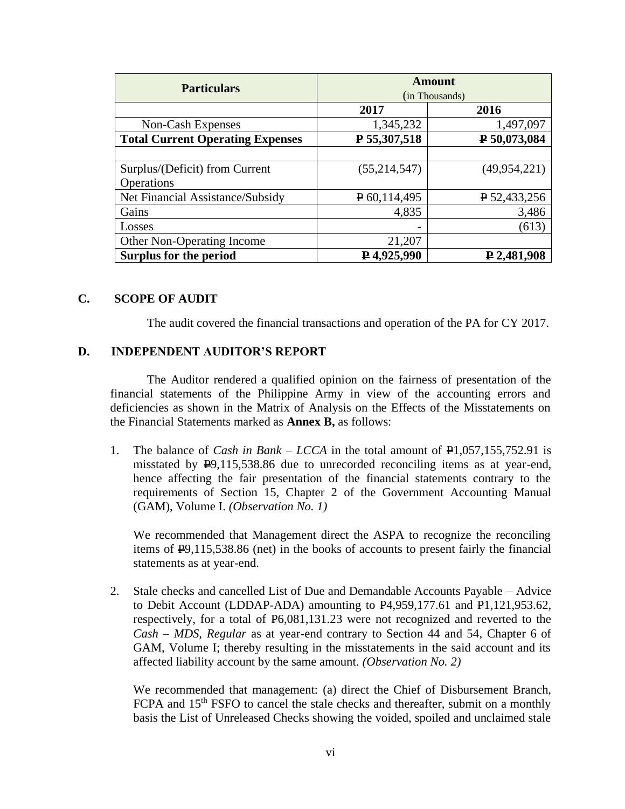| <b>Particulars</b>                      | <b>Amount</b>  |                |  |
|-----------------------------------------|----------------|----------------|--|
|                                         | (in Thousands) |                |  |
|                                         | 2017           | 2016           |  |
| Non-Cash Expenses                       | 1,345,232      | 1,497,097      |  |
| <b>Total Current Operating Expenses</b> | $P$ 55,307,518 | P 50,073,084   |  |
|                                         |                |                |  |
| Surplus/(Deficit) from Current          | (55, 214, 547) | (49, 954, 221) |  |
| Operations                              |                |                |  |
| Net Financial Assistance/Subsidy        | $P$ 60,114,495 | $P$ 52,433,256 |  |
| Gains                                   | 4,835          | 3,486          |  |
| Losses                                  |                | (613)          |  |
| Other Non-Operating Income              | 21,207         |                |  |
| <b>Surplus for the period</b>           | ₽4,925,990     | $P$ 2,481,908  |  |

### **C. SCOPE OF AUDIT**

The audit covered the financial transactions and operation of the PA for CY 2017.

#### **D. INDEPENDENT AUDITOR'S REPORT**

The Auditor rendered a qualified opinion on the fairness of presentation of the financial statements of the Philippine Army in view of the accounting errors and deficiencies as shown in the Matrix of Analysis on the Effects of the Misstatements on the Financial Statements marked as **Annex B,** as follows:

1. The balance of *Cash in Bank – LCCA* in the total amount of P1,057,155,752.91 is misstated by P9,115,538.86 due to unrecorded reconciling items as at year-end, hence affecting the fair presentation of the financial statements contrary to the requirements of Section 15, Chapter 2 of the Government Accounting Manual (GAM), Volume I. *(Observation No. 1)*

We recommended that Management direct the ASPA to recognize the reconciling items of P9,115,538.86 (net) in the books of accounts to present fairly the financial statements as at year-end.

2. Stale checks and cancelled List of Due and Demandable Accounts Payable – Advice to Debit Account (LDDAP-ADA) amounting to P4,959,177.61 and P1,121,953.62, respectively, for a total of P6,081,131.23 were not recognized and reverted to the *Cash – MDS, Regular* as at year-end contrary to Section 44 and 54, Chapter 6 of GAM, Volume I; thereby resulting in the misstatements in the said account and its affected liability account by the same amount. *(Observation No. 2)*

We recommended that management: (a) direct the Chief of Disbursement Branch, FCPA and 15<sup>th</sup> FSFO to cancel the stale checks and thereafter, submit on a monthly basis the List of Unreleased Checks showing the voided, spoiled and unclaimed stale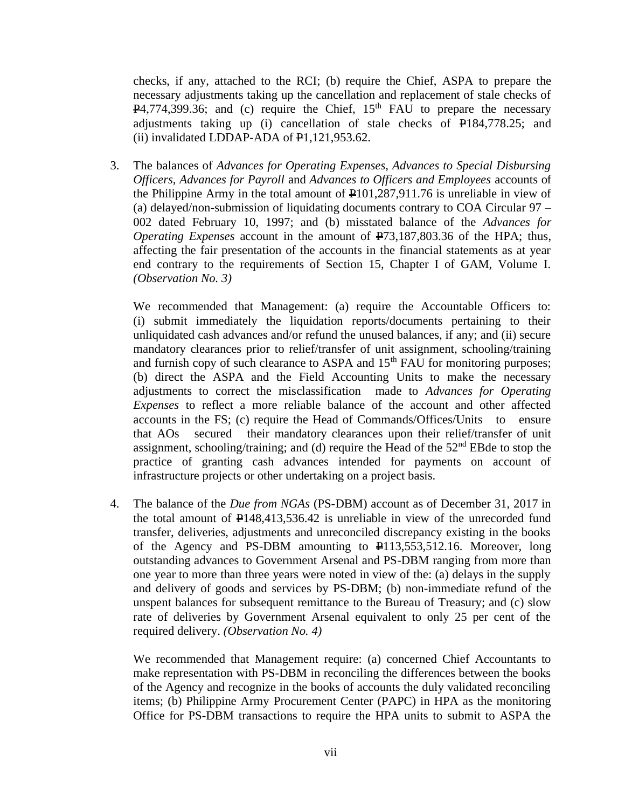checks, if any, attached to the RCI; (b) require the Chief, ASPA to prepare the necessary adjustments taking up the cancellation and replacement of stale checks of  $P4,774,399.36$ ; and (c) require the Chief, 15<sup>th</sup> FAU to prepare the necessary adjustments taking up (i) cancellation of stale checks of P184,778.25; and (ii) invalidated LDDAP-ADA of  $\mathbf{F}1,121,953.62$ .

3. The balances of *Advances for Operating Expenses, Advances to Special Disbursing Officers, Advances for Payroll* and *Advances to Officers and Employees* accounts of the Philippine Army in the total amount of  $\mathbf{P}101,287,911.76$  is unreliable in view of (a) delayed/non-submission of liquidating documents contrary to COA Circular 97 – 002 dated February 10, 1997; and (b) misstated balance of the *Advances for Operating Expenses* account in the amount of  $\overline{P}$ 73,187,803.36 of the HPA; thus, affecting the fair presentation of the accounts in the financial statements as at year end contrary to the requirements of Section 15, Chapter I of GAM, Volume I. *(Observation No. 3)*

We recommended that Management: (a) require the Accountable Officers to: (i) submit immediately the liquidation reports/documents pertaining to their unliquidated cash advances and/or refund the unused balances, if any; and (ii) secure mandatory clearances prior to relief/transfer of unit assignment, schooling/training and furnish copy of such clearance to ASPA and  $15<sup>th</sup>$  FAU for monitoring purposes; (b) direct the ASPA and the Field Accounting Units to make the necessary adjustments to correct the misclassification made to *Advances for Operating Expenses* to reflect a more reliable balance of the account and other affected accounts in the FS; (c) require the Head of Commands/Offices/Units to ensure that AOs secured their mandatory clearances upon their relief/transfer of unit assignment, schooling/training; and (d) require the Head of the 52nd EBde to stop the practice of granting cash advances intended for payments on account of infrastructure projects or other undertaking on a project basis.

4. The balance of the *Due from NGAs* (PS-DBM) account as of December 31, 2017 in the total amount of P148,413,536.42 is unreliable in view of the unrecorded fund transfer, deliveries, adjustments and unreconciled discrepancy existing in the books of the Agency and PS-DBM amounting to P113,553,512.16. Moreover, long outstanding advances to Government Arsenal and PS-DBM ranging from more than one year to more than three years were noted in view of the: (a) delays in the supply and delivery of goods and services by PS-DBM; (b) non-immediate refund of the unspent balances for subsequent remittance to the Bureau of Treasury; and (c) slow rate of deliveries by Government Arsenal equivalent to only 25 per cent of the required delivery. *(Observation No. 4)*

We recommended that Management require: (a) concerned Chief Accountants to make representation with PS-DBM in reconciling the differences between the books of the Agency and recognize in the books of accounts the duly validated reconciling items; (b) Philippine Army Procurement Center (PAPC) in HPA as the monitoring Office for PS-DBM transactions to require the HPA units to submit to ASPA the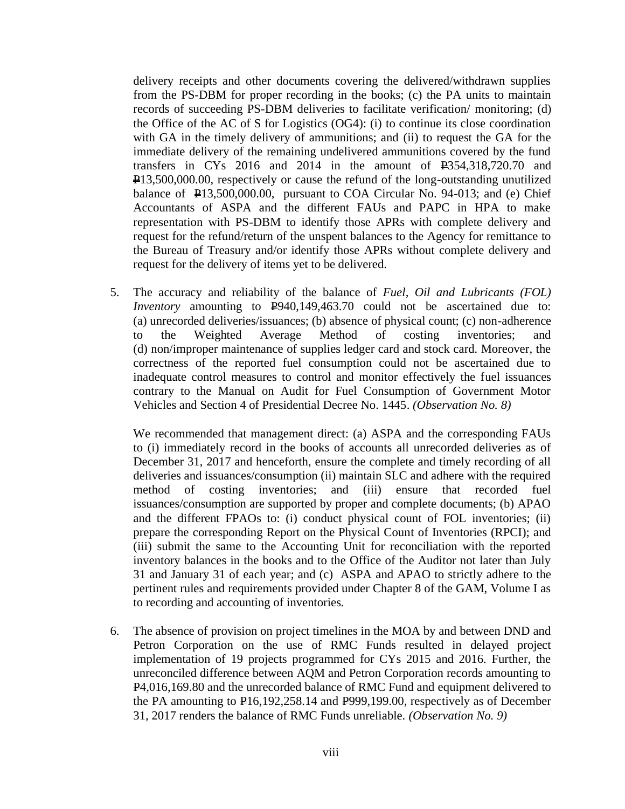delivery receipts and other documents covering the delivered/withdrawn supplies from the PS-DBM for proper recording in the books; (c) the PA units to maintain records of succeeding PS-DBM deliveries to facilitate verification/ monitoring; (d) the Office of the AC of S for Logistics (OG4): (i) to continue its close coordination with GA in the timely delivery of ammunitions; and (ii) to request the GA for the immediate delivery of the remaining undelivered ammunitions covered by the fund transfers in CYs 2016 and 2014 in the amount of P354,318,720.70 and P13,500,000.00, respectively or cause the refund of the long-outstanding unutilized balance of  $\text{P13,500,000.00}$ , pursuant to COA Circular No. 94-013; and (e) Chief Accountants of ASPA and the different FAUs and PAPC in HPA to make representation with PS-DBM to identify those APRs with complete delivery and request for the refund/return of the unspent balances to the Agency for remittance to the Bureau of Treasury and/or identify those APRs without complete delivery and request for the delivery of items yet to be delivered.

5. The accuracy and reliability of the balance of *Fuel, Oil and Lubricants (FOL) Inventory* amounting to  $\frac{1000}{2}$  *P940,149,463.70* could not be ascertained due to: (a) unrecorded deliveries/issuances; (b) absence of physical count; (c) non-adherence to the Weighted Average Method of costing inventories; and (d) non/improper maintenance of supplies ledger card and stock card. Moreover, the correctness of the reported fuel consumption could not be ascertained due to inadequate control measures to control and monitor effectively the fuel issuances contrary to the Manual on Audit for Fuel Consumption of Government Motor Vehicles and Section 4 of Presidential Decree No. 1445. *(Observation No. 8)*

We recommended that management direct: (a) ASPA and the corresponding FAUs to (i) immediately record in the books of accounts all unrecorded deliveries as of December 31, 2017 and henceforth, ensure the complete and timely recording of all deliveries and issuances/consumption (ii) maintain SLC and adhere with the required method of costing inventories; and (iii) ensure that recorded fuel issuances/consumption are supported by proper and complete documents; (b) APAO and the different FPAOs to: (i) conduct physical count of FOL inventories; (ii) prepare the corresponding Report on the Physical Count of Inventories (RPCI); and (iii) submit the same to the Accounting Unit for reconciliation with the reported inventory balances in the books and to the Office of the Auditor not later than July 31 and January 31 of each year; and (c) ASPA and APAO to strictly adhere to the pertinent rules and requirements provided under Chapter 8 of the GAM, Volume I as to recording and accounting of inventories.

6. The absence of provision on project timelines in the MOA by and between DND and Petron Corporation on the use of RMC Funds resulted in delayed project implementation of 19 projects programmed for CYs 2015 and 2016. Further, the unreconciled difference between AQM and Petron Corporation records amounting to P4,016,169.80 and the unrecorded balance of RMC Fund and equipment delivered to the PA amounting to  $\text{P16,192,258.14}$  and  $\text{P999,199.00}$ , respectively as of December 31, 2017 renders the balance of RMC Funds unreliable. *(Observation No. 9)*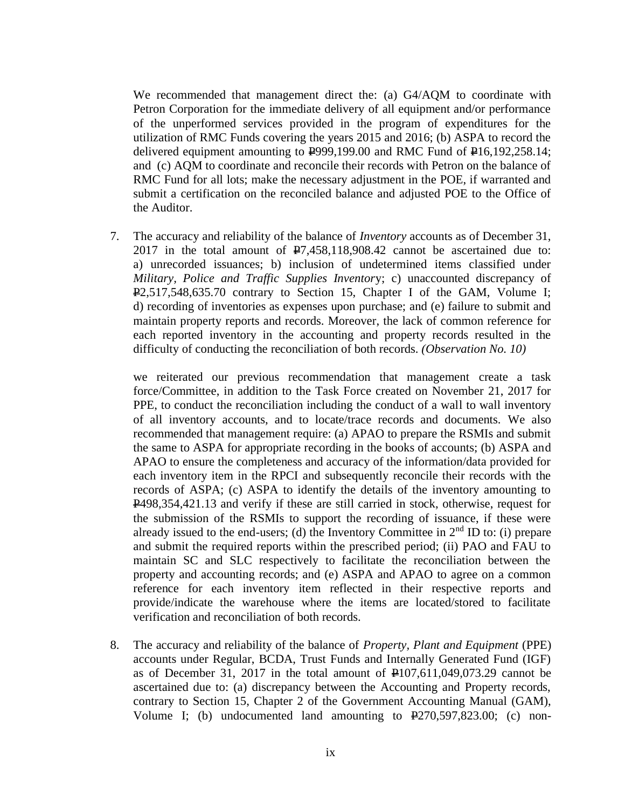We recommended that management direct the: (a) G4/AQM to coordinate with Petron Corporation for the immediate delivery of all equipment and/or performance of the unperformed services provided in the program of expenditures for the utilization of RMC Funds covering the years 2015 and 2016; (b) ASPA to record the delivered equipment amounting to  $\overline{P}999,199.00$  and RMC Fund of  $\overline{P}16,192,258.14$ ; and (c) AQM to coordinate and reconcile their records with Petron on the balance of RMC Fund for all lots; make the necessary adjustment in the POE, if warranted and submit a certification on the reconciled balance and adjusted POE to the Office of the Auditor.

7. The accuracy and reliability of the balance of *Inventory* accounts as of December 31, 2017 in the total amount of P7,458,118,908.42 cannot be ascertained due to: a) unrecorded issuances; b) inclusion of undetermined items classified under *Military, Police and Traffic Supplies Inventor*y; c) unaccounted discrepancy of P2,517,548,635.70 contrary to Section 15, Chapter I of the GAM, Volume I; d) recording of inventories as expenses upon purchase; and (e) failure to submit and maintain property reports and records. Moreover, the lack of common reference for each reported inventory in the accounting and property records resulted in the difficulty of conducting the reconciliation of both records. *(Observation No. 10)*

we reiterated our previous recommendation that management create a task force/Committee, in addition to the Task Force created on November 21, 2017 for PPE, to conduct the reconciliation including the conduct of a wall to wall inventory of all inventory accounts, and to locate/trace records and documents. We also recommended that management require: (a) APAO to prepare the RSMIs and submit the same to ASPA for appropriate recording in the books of accounts; (b) ASPA and APAO to ensure the completeness and accuracy of the information/data provided for each inventory item in the RPCI and subsequently reconcile their records with the records of ASPA; (c) ASPA to identify the details of the inventory amounting to P498,354,421.13 and verify if these are still carried in stock, otherwise, request for the submission of the RSMIs to support the recording of issuance, if these were already issued to the end-users; (d) the Inventory Committee in  $2<sup>nd</sup>$  ID to: (i) prepare and submit the required reports within the prescribed period; (ii) PAO and FAU to maintain SC and SLC respectively to facilitate the reconciliation between the property and accounting records; and (e) ASPA and APAO to agree on a common reference for each inventory item reflected in their respective reports and provide/indicate the warehouse where the items are located/stored to facilitate verification and reconciliation of both records.

8. The accuracy and reliability of the balance of *Property, Plant and Equipment* (PPE) accounts under Regular, BCDA, Trust Funds and Internally Generated Fund (IGF) as of December 31, 2017 in the total amount of  $\text{\textsterling}107,611,049,073.29$  cannot be ascertained due to: (a) discrepancy between the Accounting and Property records, contrary to Section 15, Chapter 2 of the Government Accounting Manual (GAM), Volume I; (b) undocumented land amounting to P270,597,823.00; (c) non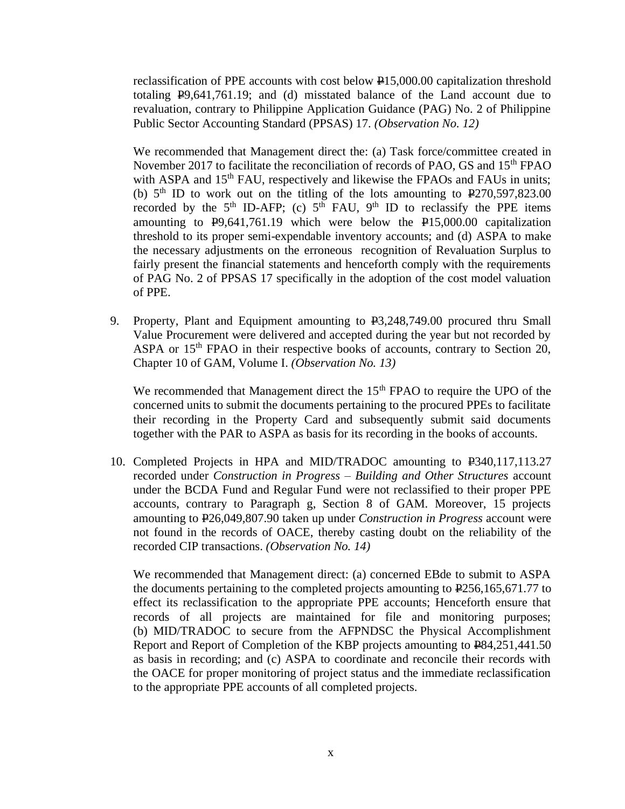reclassification of PPE accounts with cost below P15,000.00 capitalization threshold totaling P9,641,761.19; and (d) misstated balance of the Land account due to revaluation, contrary to Philippine Application Guidance (PAG) No. 2 of Philippine Public Sector Accounting Standard (PPSAS) 17. *(Observation No. 12)*

We recommended that Management direct the: (a) Task force/committee created in November 2017 to facilitate the reconciliation of records of PAO, GS and  $15<sup>th</sup>$  FPAO with ASPA and  $15<sup>th</sup>$  FAU, respectively and likewise the FPAOs and FAUs in units; (b)  $5<sup>th</sup>$  ID to work out on the titling of the lots amounting to  $\overline{P}270,597,823.00$ recorded by the  $5<sup>th</sup>$  ID-AFP; (c)  $5<sup>th</sup>$  FAU,  $9<sup>th</sup>$  ID to reclassify the PPE items amounting to  $\text{\textsterling}9,641,761.19$  which were below the  $\text{\textsterling}15,000.00$  capitalization threshold to its proper semi-expendable inventory accounts; and (d) ASPA to make the necessary adjustments on the erroneous recognition of Revaluation Surplus to fairly present the financial statements and henceforth comply with the requirements of PAG No. 2 of PPSAS 17 specifically in the adoption of the cost model valuation of PPE.

9. Property, Plant and Equipment amounting to P3,248,749.00 procured thru Small Value Procurement were delivered and accepted during the year but not recorded by ASPA or 15<sup>th</sup> FPAO in their respective books of accounts, contrary to Section 20, Chapter 10 of GAM, Volume I. *(Observation No. 13)*

We recommended that Management direct the  $15<sup>th</sup>$  FPAO to require the UPO of the concerned units to submit the documents pertaining to the procured PPEs to facilitate their recording in the Property Card and subsequently submit said documents together with the PAR to ASPA as basis for its recording in the books of accounts.

10. Completed Projects in HPA and MID/TRADOC amounting to P340,117,113.27 recorded under *Construction in Progress – Building and Other Structures* account under the BCDA Fund and Regular Fund were not reclassified to their proper PPE accounts, contrary to Paragraph g, Section 8 of GAM. Moreover, 15 projects amounting to P26,049,807.90 taken up under *Construction in Progress* account were not found in the records of OACE, thereby casting doubt on the reliability of the recorded CIP transactions. *(Observation No. 14)*

We recommended that Management direct: (a) concerned EBde to submit to ASPA the documents pertaining to the completed projects amounting to P256,165,671.77 to effect its reclassification to the appropriate PPE accounts; Henceforth ensure that records of all projects are maintained for file and monitoring purposes; (b) MID/TRADOC to secure from the AFPNDSC the Physical Accomplishment Report and Report of Completion of the KBP projects amounting to P84,251,441.50 as basis in recording; and (c) ASPA to coordinate and reconcile their records with the OACE for proper monitoring of project status and the immediate reclassification to the appropriate PPE accounts of all completed projects.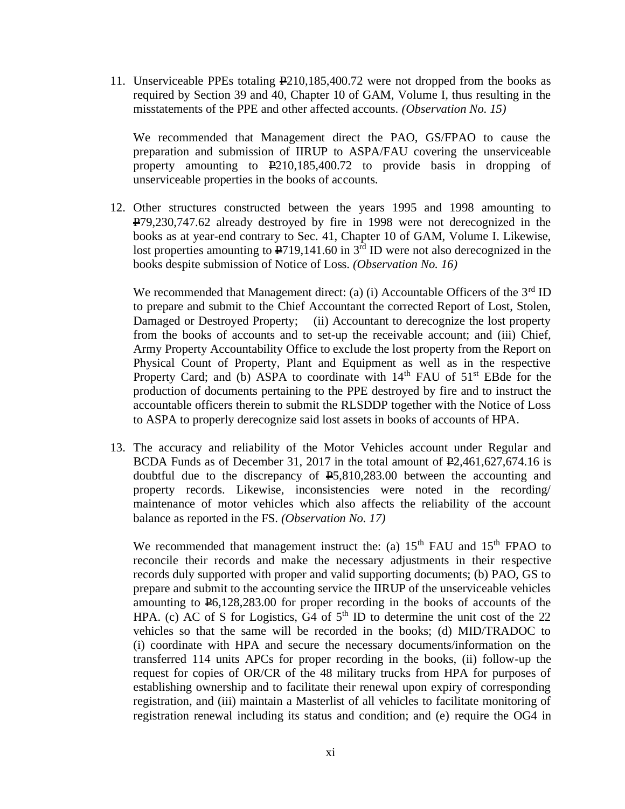11. Unserviceable PPEs totaling P210,185,400.72 were not dropped from the books as required by Section 39 and 40, Chapter 10 of GAM, Volume I, thus resulting in the misstatements of the PPE and other affected accounts. *(Observation No. 15)*

We recommended that Management direct the PAO, GS/FPAO to cause the preparation and submission of IIRUP to ASPA/FAU covering the unserviceable property amounting to P210,185,400.72 to provide basis in dropping of unserviceable properties in the books of accounts.

12. Other structures constructed between the years 1995 and 1998 amounting to P79,230,747.62 already destroyed by fire in 1998 were not derecognized in the books as at year-end contrary to Sec. 41, Chapter 10 of GAM, Volume I. Likewise, lost properties amounting to  $\text{P719,141.60}$  in 3<sup>rd</sup> ID were not also derecognized in the books despite submission of Notice of Loss. *(Observation No. 16)*

We recommended that Management direct: (a) (i) Accountable Officers of the  $3<sup>rd</sup>$  ID to prepare and submit to the Chief Accountant the corrected Report of Lost, Stolen, Damaged or Destroyed Property; (ii) Accountant to derecognize the lost property from the books of accounts and to set-up the receivable account; and (iii) Chief, Army Property Accountability Office to exclude the lost property from the Report on Physical Count of Property, Plant and Equipment as well as in the respective Property Card; and (b) ASPA to coordinate with  $14<sup>th</sup>$  FAU of  $51<sup>st</sup>$  EBde for the production of documents pertaining to the PPE destroyed by fire and to instruct the accountable officers therein to submit the RLSDDP together with the Notice of Loss to ASPA to properly derecognize said lost assets in books of accounts of HPA.

13. The accuracy and reliability of the Motor Vehicles account under Regular and BCDA Funds as of December 31, 2017 in the total amount of P2,461,627,674.16 is doubtful due to the discrepancy of P5,810,283.00 between the accounting and property records. Likewise, inconsistencies were noted in the recording/ maintenance of motor vehicles which also affects the reliability of the account balance as reported in the FS. *(Observation No. 17)*

We recommended that management instruct the: (a)  $15<sup>th</sup>$  FAU and  $15<sup>th</sup>$  FPAO to reconcile their records and make the necessary adjustments in their respective records duly supported with proper and valid supporting documents; (b) PAO, GS to prepare and submit to the accounting service the IIRUP of the unserviceable vehicles amounting to P6,128,283.00 for proper recording in the books of accounts of the HPA. (c) AC of S for Logistics, G4 of  $5<sup>th</sup>$  ID to determine the unit cost of the 22 vehicles so that the same will be recorded in the books; (d) MID/TRADOC to (i) coordinate with HPA and secure the necessary documents/information on the transferred 114 units APCs for proper recording in the books, (ii) follow-up the request for copies of OR/CR of the 48 military trucks from HPA for purposes of establishing ownership and to facilitate their renewal upon expiry of corresponding registration, and (iii) maintain a Masterlist of all vehicles to facilitate monitoring of registration renewal including its status and condition; and (e) require the OG4 in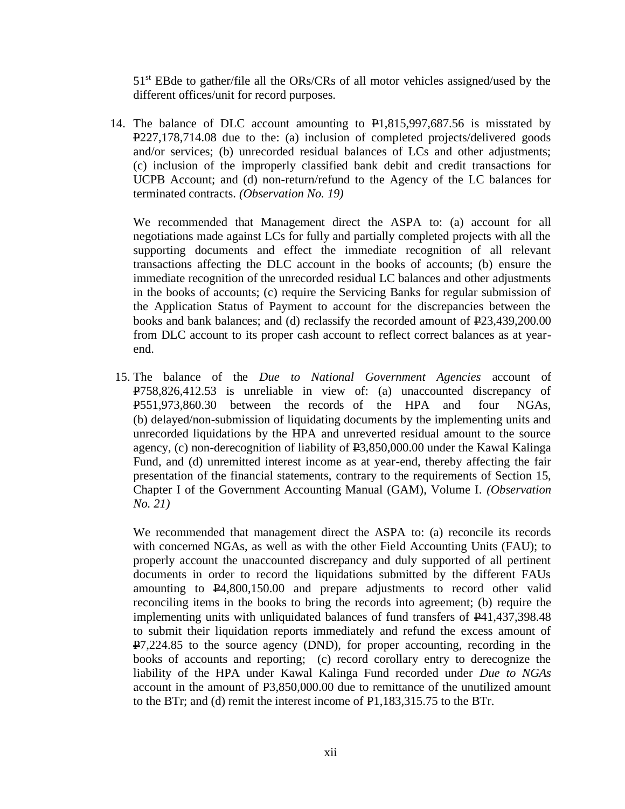51st EBde to gather/file all the ORs/CRs of all motor vehicles assigned/used by the different offices/unit for record purposes.

14. The balance of DLC account amounting to P1,815,997,687.56 is misstated by P227,178,714.08 due to the: (a) inclusion of completed projects/delivered goods and/or services; (b) unrecorded residual balances of LCs and other adjustments; (c) inclusion of the improperly classified bank debit and credit transactions for UCPB Account; and (d) non-return/refund to the Agency of the LC balances for terminated contracts. *(Observation No. 19)*

We recommended that Management direct the ASPA to: (a) account for all negotiations made against LCs for fully and partially completed projects with all the supporting documents and effect the immediate recognition of all relevant transactions affecting the DLC account in the books of accounts; (b) ensure the immediate recognition of the unrecorded residual LC balances and other adjustments in the books of accounts; (c) require the Servicing Banks for regular submission of the Application Status of Payment to account for the discrepancies between the books and bank balances; and (d) reclassify the recorded amount of P23,439,200.00 from DLC account to its proper cash account to reflect correct balances as at yearend.

15. The balance of the *Due to National Government Agencies* account of P758,826,412.53 is unreliable in view of: (a) unaccounted discrepancy of P551,973,860.30 between the records of the HPA and four NGAs, (b) delayed/non-submission of liquidating documents by the implementing units and unrecorded liquidations by the HPA and unreverted residual amount to the source agency, (c) non-derecognition of liability of  $\text{\texttt{P}}3,850,000.00$  under the Kawal Kalinga Fund, and (d) unremitted interest income as at year-end, thereby affecting the fair presentation of the financial statements, contrary to the requirements of Section 15, Chapter I of the Government Accounting Manual (GAM), Volume I. *(Observation No. 21)*

We recommended that management direct the ASPA to: (a) reconcile its records with concerned NGAs, as well as with the other Field Accounting Units (FAU); to properly account the unaccounted discrepancy and duly supported of all pertinent documents in order to record the liquidations submitted by the different FAUs amounting to  $\mathbf{P}4,800,150.00$  and prepare adjustments to record other valid reconciling items in the books to bring the records into agreement; (b) require the implementing units with unliquidated balances of fund transfers of P41,437,398.48 to submit their liquidation reports immediately and refund the excess amount of P7,224.85 to the source agency (DND), for proper accounting, recording in the books of accounts and reporting; (c) record corollary entry to derecognize the liability of the HPA under Kawal Kalinga Fund recorded under *Due to NGAs* account in the amount of  $\text{\textsterling}3,850,000,00$  due to remittance of the unutilized amount to the BTr; and (d) remit the interest income of  $\mathbf{P}1,183,315.75$  to the BTr.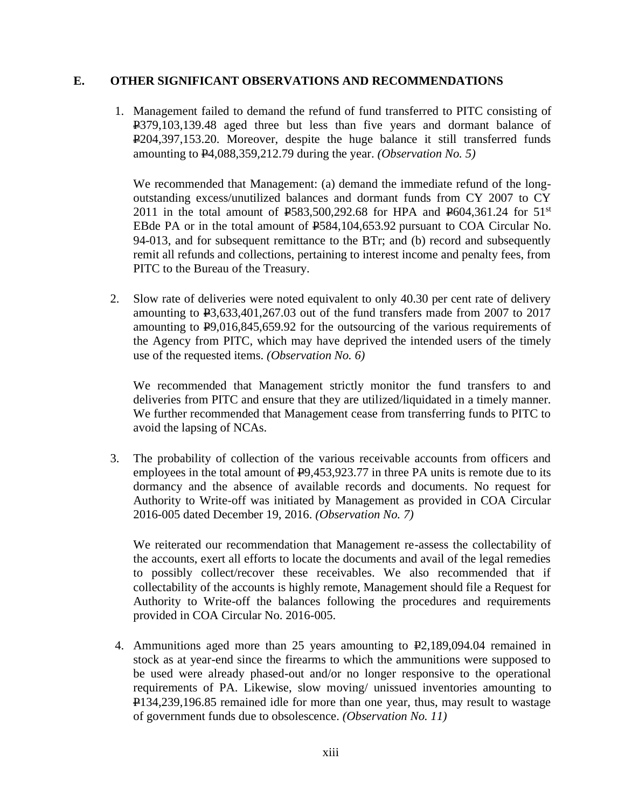## **E. OTHER SIGNIFICANT OBSERVATIONS AND RECOMMENDATIONS**

1. Management failed to demand the refund of fund transferred to PITC consisting of P379,103,139.48 aged three but less than five years and dormant balance of P204,397,153.20. Moreover, despite the huge balance it still transferred funds amounting to P4,088,359,212.79 during the year. *(Observation No. 5)*

We recommended that Management: (a) demand the immediate refund of the longoutstanding excess/unutilized balances and dormant funds from CY 2007 to CY 2011 in the total amount of  $\text{\textsterling}583,500,292.68$  for HPA and  $\text{\textsterling}604,361.24$  for  $51^{\text{st}}$ EBde PA or in the total amount of  $E$ 584,104,653.92 pursuant to COA Circular No. 94-013, and for subsequent remittance to the BTr; and (b) record and subsequently remit all refunds and collections, pertaining to interest income and penalty fees, from PITC to the Bureau of the Treasury.

2. Slow rate of deliveries were noted equivalent to only 40.30 per cent rate of delivery amounting to P3,633,401,267.03 out of the fund transfers made from 2007 to 2017 amounting to P9,016,845,659.92 for the outsourcing of the various requirements of the Agency from PITC, which may have deprived the intended users of the timely use of the requested items. *(Observation No. 6)*

We recommended that Management strictly monitor the fund transfers to and deliveries from PITC and ensure that they are utilized/liquidated in a timely manner. We further recommended that Management cease from transferring funds to PITC to avoid the lapsing of NCAs.

3. The probability of collection of the various receivable accounts from officers and employees in the total amount of  $E<sub>9</sub>,453,923.77$  in three PA units is remote due to its dormancy and the absence of available records and documents. No request for Authority to Write-off was initiated by Management as provided in COA Circular 2016-005 dated December 19, 2016. *(Observation No. 7)*

We reiterated our recommendation that Management re-assess the collectability of the accounts, exert all efforts to locate the documents and avail of the legal remedies to possibly collect/recover these receivables. We also recommended that if collectability of the accounts is highly remote, Management should file a Request for Authority to Write-off the balances following the procedures and requirements provided in COA Circular No. 2016-005.

4. Ammunitions aged more than 25 years amounting to  $\mathbb{P}2,189,094.04$  remained in stock as at year-end since the firearms to which the ammunitions were supposed to be used were already phased-out and/or no longer responsive to the operational requirements of PA. Likewise, slow moving/ unissued inventories amounting to P134,239,196.85 remained idle for more than one year, thus, may result to wastage of government funds due to obsolescence. *(Observation No. 11)*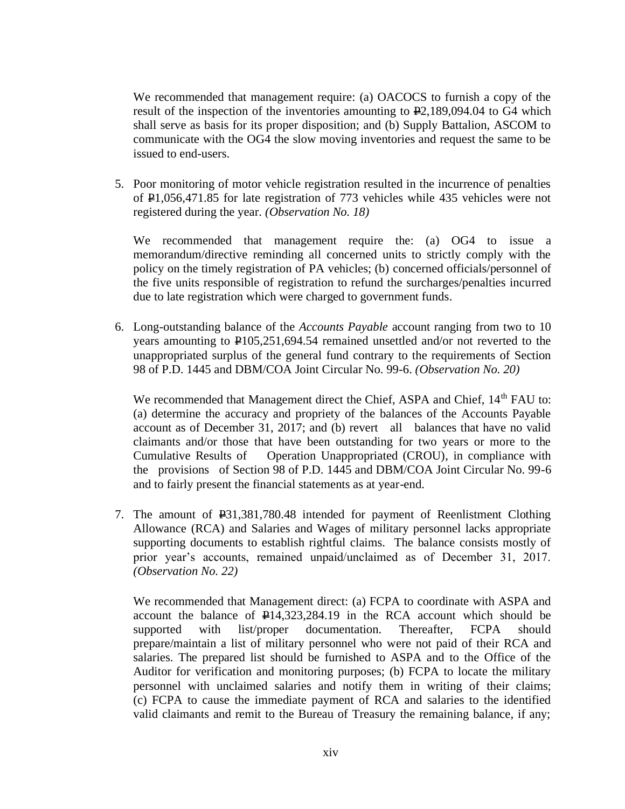We recommended that management require: (a) OACOCS to furnish a copy of the result of the inspection of the inventories amounting to  $\mathbf{\overline{P}2,189,094.04}$  to G4 which shall serve as basis for its proper disposition; and (b) Supply Battalion, ASCOM to communicate with the OG4 the slow moving inventories and request the same to be issued to end-users.

5. Poor monitoring of motor vehicle registration resulted in the incurrence of penalties of P1,056,471.85 for late registration of 773 vehicles while 435 vehicles were not registered during the year. *(Observation No. 18)*

We recommended that management require the: (a) OG4 to issue a memorandum/directive reminding all concerned units to strictly comply with the policy on the timely registration of PA vehicles; (b) concerned officials/personnel of the five units responsible of registration to refund the surcharges/penalties incurred due to late registration which were charged to government funds.

6. Long-outstanding balance of the *Accounts Payable* account ranging from two to 10 years amounting to P105,251,694.54 remained unsettled and/or not reverted to the unappropriated surplus of the general fund contrary to the requirements of Section 98 of P.D. 1445 and DBM/COA Joint Circular No. 99-6. *(Observation No. 20)*

We recommended that Management direct the Chief, ASPA and Chief, 14<sup>th</sup> FAU to: (a) determine the accuracy and propriety of the balances of the Accounts Payable account as of December 31, 2017; and (b) revert all balances that have no valid claimants and/or those that have been outstanding for two years or more to the Cumulative Results of Operation Unappropriated (CROU), in compliance with the provisions of Section 98 of P.D. 1445 and DBM/COA Joint Circular No. 99-6 and to fairly present the financial statements as at year-end.

7. The amount of P31,381,780.48 intended for payment of Reenlistment Clothing Allowance (RCA) and Salaries and Wages of military personnel lacks appropriate supporting documents to establish rightful claims. The balance consists mostly of prior year's accounts, remained unpaid/unclaimed as of December 31, 2017. *(Observation No. 22)*

We recommended that Management direct: (a) FCPA to coordinate with ASPA and account the balance of P14,323,284.19 in the RCA account which should be supported with list/proper documentation. Thereafter, FCPA should prepare/maintain a list of military personnel who were not paid of their RCA and salaries. The prepared list should be furnished to ASPA and to the Office of the Auditor for verification and monitoring purposes; (b) FCPA to locate the military personnel with unclaimed salaries and notify them in writing of their claims; (c) FCPA to cause the immediate payment of RCA and salaries to the identified valid claimants and remit to the Bureau of Treasury the remaining balance, if any;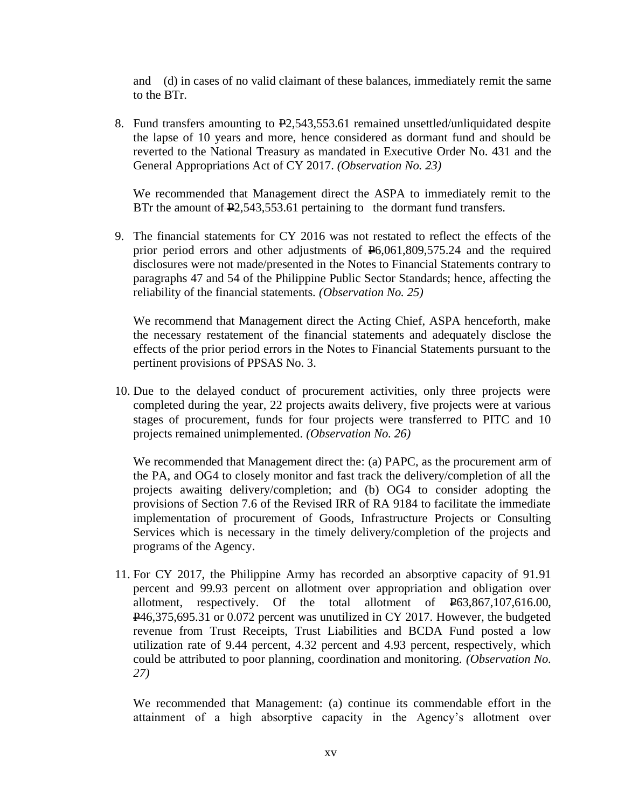and (d) in cases of no valid claimant of these balances, immediately remit the same to the BTr.

8. Fund transfers amounting to P2,543,553.61 remained unsettled/unliquidated despite the lapse of 10 years and more, hence considered as dormant fund and should be reverted to the National Treasury as mandated in Executive Order No. 431 and the General Appropriations Act of CY 2017. *(Observation No. 23)*

We recommended that Management direct the ASPA to immediately remit to the BTr the amount of  $\text{\textbf{P}}2,543,553.61$  pertaining to the dormant fund transfers.

9. The financial statements for CY 2016 was not restated to reflect the effects of the prior period errors and other adjustments of P6,061,809,575.24 and the required disclosures were not made/presented in the Notes to Financial Statements contrary to paragraphs 47 and 54 of the Philippine Public Sector Standards; hence, affecting the reliability of the financial statements. *(Observation No. 25)*

We recommend that Management direct the Acting Chief, ASPA henceforth, make the necessary restatement of the financial statements and adequately disclose the effects of the prior period errors in the Notes to Financial Statements pursuant to the pertinent provisions of PPSAS No. 3.

10. Due to the delayed conduct of procurement activities, only three projects were completed during the year, 22 projects awaits delivery, five projects were at various stages of procurement, funds for four projects were transferred to PITC and 10 projects remained unimplemented. *(Observation No. 26)*

We recommended that Management direct the: (a) PAPC, as the procurement arm of the PA, and OG4 to closely monitor and fast track the delivery/completion of all the projects awaiting delivery/completion; and (b) OG4 to consider adopting the provisions of Section 7.6 of the Revised IRR of RA 9184 to facilitate the immediate implementation of procurement of Goods, Infrastructure Projects or Consulting Services which is necessary in the timely delivery/completion of the projects and programs of the Agency.

11. For CY 2017, the Philippine Army has recorded an absorptive capacity of 91.91 percent and 99.93 percent on allotment over appropriation and obligation over allotment, respectively. Of the total allotment of P63,867,107,616.00, P46,375,695.31 or 0.072 percent was unutilized in CY 2017. However, the budgeted revenue from Trust Receipts, Trust Liabilities and BCDA Fund posted a low utilization rate of 9.44 percent, 4.32 percent and 4.93 percent, respectively, which could be attributed to poor planning, coordination and monitoring. *(Observation No. 27)*

We recommended that Management: (a) continue its commendable effort in the attainment of a high absorptive capacity in the Agency's allotment over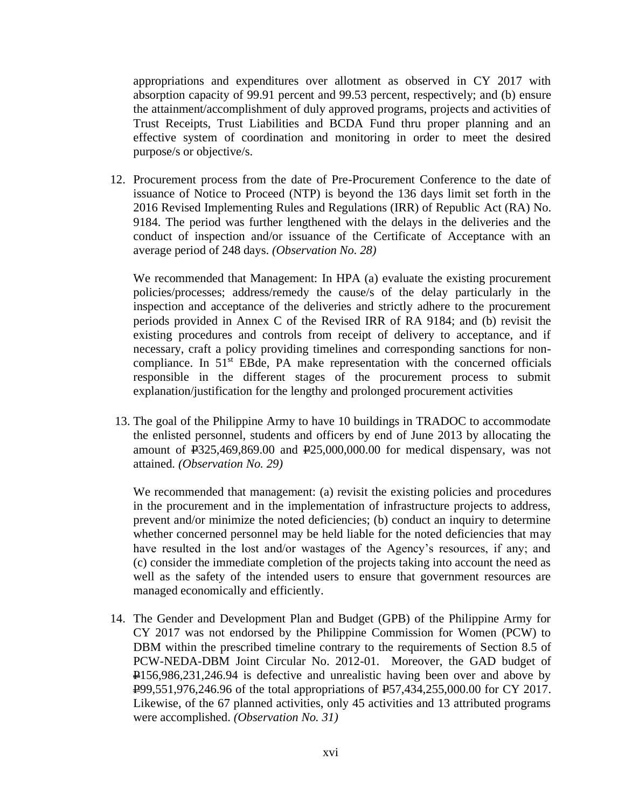appropriations and expenditures over allotment as observed in CY 2017 with absorption capacity of 99.91 percent and 99.53 percent, respectively; and (b) ensure the attainment/accomplishment of duly approved programs, projects and activities of Trust Receipts, Trust Liabilities and BCDA Fund thru proper planning and an effective system of coordination and monitoring in order to meet the desired purpose/s or objective/s.

12. Procurement process from the date of Pre-Procurement Conference to the date of issuance of Notice to Proceed (NTP) is beyond the 136 days limit set forth in the 2016 Revised Implementing Rules and Regulations (IRR) of Republic Act (RA) No. 9184. The period was further lengthened with the delays in the deliveries and the conduct of inspection and/or issuance of the Certificate of Acceptance with an average period of 248 days. *(Observation No. 28)*

We recommended that Management: In HPA (a) evaluate the existing procurement policies/processes; address/remedy the cause/s of the delay particularly in the inspection and acceptance of the deliveries and strictly adhere to the procurement periods provided in Annex C of the Revised IRR of RA 9184; and (b) revisit the existing procedures and controls from receipt of delivery to acceptance, and if necessary, craft a policy providing timelines and corresponding sanctions for noncompliance. In  $51<sup>st</sup>$  EBde, PA make representation with the concerned officials responsible in the different stages of the procurement process to submit explanation/justification for the lengthy and prolonged procurement activities

13. The goal of the Philippine Army to have 10 buildings in TRADOC to accommodate the enlisted personnel, students and officers by end of June 2013 by allocating the amount of  $\text{\texttt{P325,469,869.00}}$  and  $\text{\texttt{P25,000,000.00}}$  for medical dispensary, was not attained*. (Observation No. 29)*

We recommended that management: (a) revisit the existing policies and procedures in the procurement and in the implementation of infrastructure projects to address, prevent and/or minimize the noted deficiencies; (b) conduct an inquiry to determine whether concerned personnel may be held liable for the noted deficiencies that may have resulted in the lost and/or wastages of the Agency's resources, if any; and (c) consider the immediate completion of the projects taking into account the need as well as the safety of the intended users to ensure that government resources are managed economically and efficiently.

14. The Gender and Development Plan and Budget (GPB) of the Philippine Army for CY 2017 was not endorsed by the Philippine Commission for Women (PCW) to DBM within the prescribed timeline contrary to the requirements of Section 8.5 of PCW-NEDA-DBM Joint Circular No. 2012-01. Moreover, the GAD budget of P156,986,231,246.94 is defective and unrealistic having been over and above by P99,551,976,246.96 of the total appropriations of P57,434,255,000.00 for CY 2017. Likewise, of the 67 planned activities, only 45 activities and 13 attributed programs were accomplished. *(Observation No. 31)*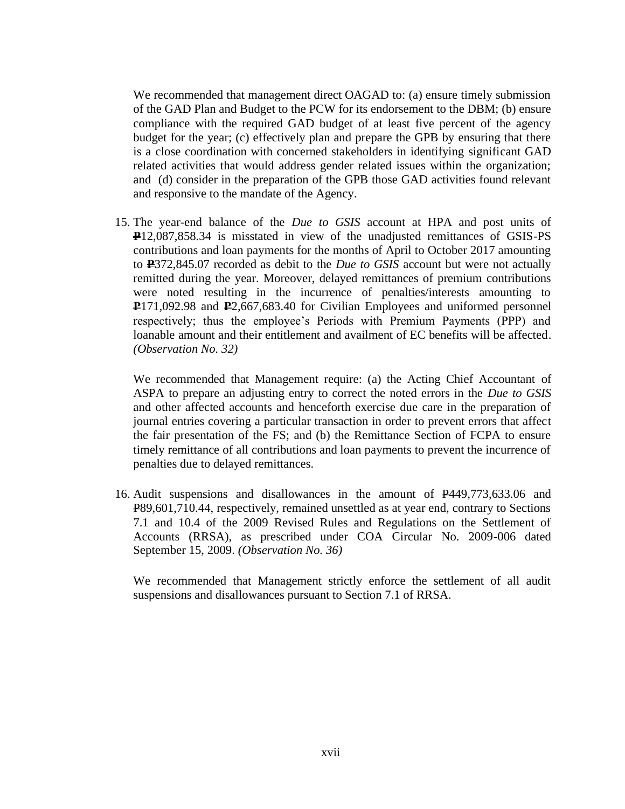We recommended that management direct OAGAD to: (a) ensure timely submission of the GAD Plan and Budget to the PCW for its endorsement to the DBM; (b) ensure compliance with the required GAD budget of at least five percent of the agency budget for the year; (c) effectively plan and prepare the GPB by ensuring that there is a close coordination with concerned stakeholders in identifying significant GAD related activities that would address gender related issues within the organization; and (d) consider in the preparation of the GPB those GAD activities found relevant and responsive to the mandate of the Agency.

15. The year-end balance of the *Due to GSIS* account at HPA and post units of **P**12,087,858.34 is misstated in view of the unadjusted remittances of GSIS-PS contributions and loan payments for the months of April to October 2017 amounting to **P**372,845.07 recorded as debit to the *Due to GSIS* account but were not actually remitted during the year. Moreover, delayed remittances of premium contributions were noted resulting in the incurrence of penalties/interests amounting to **P**171,092.98 and **P**2,667,683.40 for Civilian Employees and uniformed personnel respectively; thus the employee's Periods with Premium Payments (PPP) and loanable amount and their entitlement and availment of EC benefits will be affected. *(Observation No. 32)*

We recommended that Management require: (a) the Acting Chief Accountant of ASPA to prepare an adjusting entry to correct the noted errors in the *Due to GSIS*  and other affected accounts and henceforth exercise due care in the preparation of journal entries covering a particular transaction in order to prevent errors that affect the fair presentation of the FS; and (b) the Remittance Section of FCPA to ensure timely remittance of all contributions and loan payments to prevent the incurrence of penalties due to delayed remittances.

16. Audit suspensions and disallowances in the amount of P449,773,633.06 and P89,601,710.44, respectively, remained unsettled as at year end, contrary to Sections 7.1 and 10.4 of the 2009 Revised Rules and Regulations on the Settlement of Accounts (RRSA), as prescribed under COA Circular No. 2009-006 dated September 15, 2009. *(Observation No. 36)*

We recommended that Management strictly enforce the settlement of all audit suspensions and disallowances pursuant to Section 7.1 of RRSA.